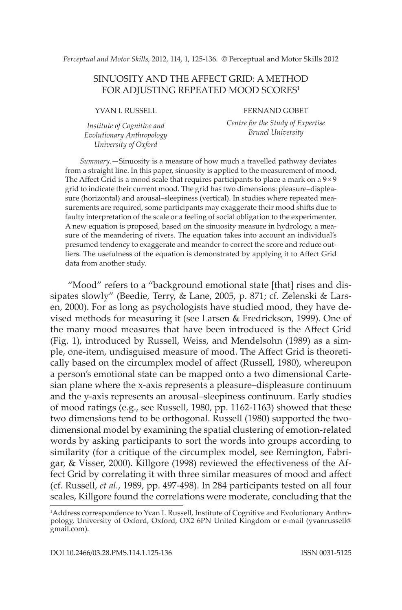*Perceptual and Motor Skills,* 2012, 114, 1, 125-136. © Perceptual and Motor Skills 2012

# Sinuosity and the Affect Grid: A method FOR ADJUSTING REPEATED MOOD SCORES<sup>1</sup>

YVAN I. RUSSELL

*Institute of Cognitive and Evolutionary Anthropology University of Oxford*

Fernand Gobet

*Centre for the Study of Expertise Brunel University*

*Summary*.—Sinuosity is a measure of how much a travelled pathway deviates from a straight line. In this paper, sinuosity is applied to the measurement of mood. The Affect Grid is a mood scale that requires participants to place a mark on a  $9 \times 9$ grid to indicate their current mood. The grid has two dimensions: pleasure–displeasure (horizontal) and arousal–sleepiness (vertical). In studies where repeated measurements are required, some participants may exaggerate their mood shifts due to faulty interpretation of the scale or a feeling of social obligation to the experimenter. A new equation is proposed, based on the sinuosity measure in hydrology, a measure of the meandering of rivers. The equation takes into account an individual's presumed tendency to exaggerate and meander to correct the score and reduce outliers. The usefulness of the equation is demonstrated by applying it to Affect Grid data from another study.

"Mood" refers to a "background emotional state [that] rises and dissipates slowly" (Beedie, Terry, & Lane, 2005, p. 871; cf. Zelenski & Larsen, 2000). For as long as psychologists have studied mood, they have devised methods for measuring it (see Larsen & Fredrickson, 1999). One of the many mood measures that have been introduced is the Affect Grid (Fig. 1), introduced by Russell, Weiss, and Mendelsohn (1989) as a simple, one-item, undisguised measure of mood. The Affect Grid is theoretically based on the circumplex model of affect (Russell, 1980), whereupon a person's emotional state can be mapped onto a two dimensional Cartesian plane where the x-axis represents a pleasure–displeasure continuum and the y-axis represents an arousal–sleepiness continuum. Early studies of mood ratings (e.g., see Russell, 1980, pp. 1162-1163) showed that these two dimensions tend to be orthogonal. Russell (1980) supported the twodimensional model by examining the spatial clustering of emotion-related words by asking participants to sort the words into groups according to similarity (for a critique of the circumplex model, see Remington, Fabrigar, & Visser, 2000). Killgore (1998) reviewed the effectiveness of the Affect Grid by correlating it with three similar measures of mood and affect (cf. Russell, *et al.*, 1989, pp. 497-498). In 284 participants tested on all four scales, Killgore found the correlations were moderate, concluding that the

<sup>1</sup> Address correspondence to Yvan I. Russell, Institute of Cognitive and Evolutionary Anthropology, University of Oxford, Oxford, OX2 6PN United Kingdom or e-mail (yvanrussell@ gmail.com).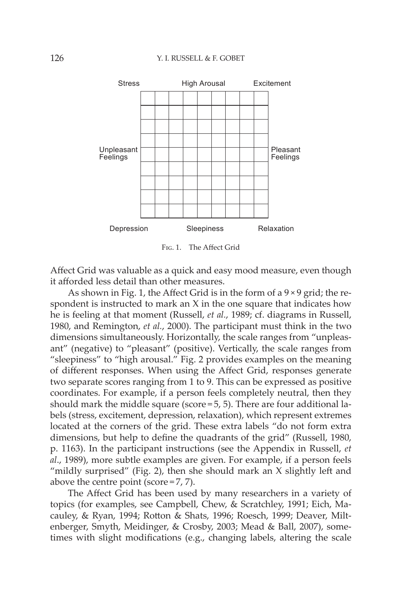

Fig. 1. The Affect Grid

Affect Grid was valuable as a quick and easy mood measure, even though it afforded less detail than other measures.

As shown in Fig. 1, the Affect Grid is in the form of a  $9 \times 9$  grid; the respondent is instructed to mark an  $X$  in the one square that indicates how he is feeling at that moment (Russell, *et al.*, 1989; cf. diagrams in Russell, 1980, and Remington, *et al.*, 2000). The participant must think in the two dimensions simultaneously. Horizontally, the scale ranges from "unpleasant" (negative) to "pleasant" (positive). Vertically, the scale ranges from "sleepiness" to "high arousal." Fig. 2 provides examples on the meaning of different responses. When using the Affect Grid, responses generate two separate scores ranging from 1 to 9. This can be expressed as positive coordinates. For example, if a person feels completely neutral, then they should mark the middle square (score  $=$  5, 5). There are four additional labels (stress, excitement, depression, relaxation), which represent extremes located at the corners of the grid. These extra labels "do not form extra dimensions, but help to define the quadrants of the grid" (Russell, 1980, p. 1163). In the participant instructions (see the Appendix in Russell, *et al*., 1989), more subtle examples are given. For example, if a person feels "mildly surprised" (Fig. 2), then she should mark an X slightly left and above the centre point (score $=7, 7$ ).

The Affect Grid has been used by many researchers in a variety of topics (for examples, see Campbell, Chew, & Scratchley, 1991; Eich, Macauley, & Ryan, 1994; Rotton & Shats, 1996; Roesch, 1999; Deaver, Miltenberger, Smyth, Meidinger, & Crosby, 2003; Mead & Ball, 2007), sometimes with slight modifications (e.g., changing labels, altering the scale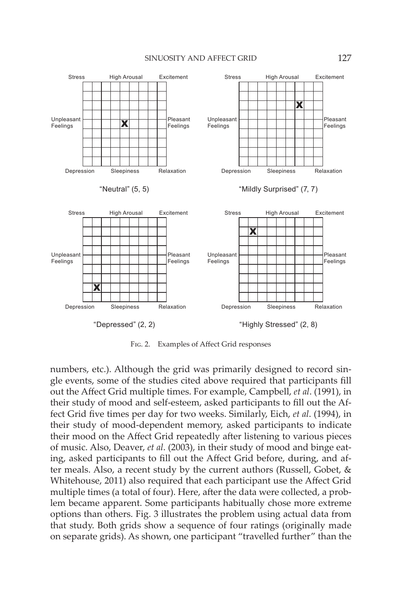#### SINUOSITY AND AFFECT GRID 127



Fig. 2. Examples of Affect Grid responses

numbers, etc.). Although the grid was primarily designed to record single events, some of the studies cited above required that participants fill out the Affect Grid multiple times. For example, Campbell, *et al*. (1991), in their study of mood and self-esteem, asked participants to fill out the Affect Grid five times per day for two weeks. Similarly, Eich, *et al*. (1994), in their study of mood-dependent memory, asked participants to indicate their mood on the Affect Grid repeatedly after listening to various pieces of music. Also, Deaver, *et al*. (2003), in their study of mood and binge eating, asked participants to fill out the Affect Grid before, during, and after meals. Also, a recent study by the current authors (Russell, Gobet, & Whitehouse, 2011) also required that each participant use the Affect Grid multiple times (a total of four). Here, after the data were collected, a problem became apparent. Some participants habitually chose more extreme options than others. Fig. 3 illustrates the problem using actual data from that study. Both grids show a sequence of four ratings (originally made on separate grids). As shown, one participant "travelled further" than the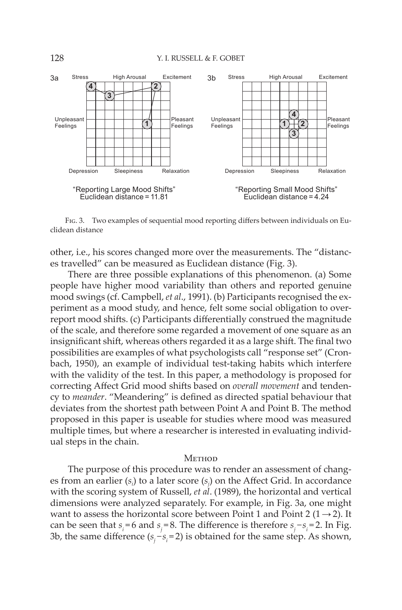

Fig. 3. Two examples of sequential mood reporting differs between individuals on Euclidean distance

other, i.e., his scores changed more over the measurements. The "distances travelled" can be measured as Euclidean distance (Fig. 3).

There are three possible explanations of this phenomenon. (a) Some people have higher mood variability than others and reported genuine mood swings (cf. Campbell, *et al*., 1991). (b) Participants recognised the experiment as a mood study, and hence, felt some social obligation to overreport mood shifts. (c) Participants differentially construed the magnitude of the scale, and therefore some regarded a movement of one square as an insignificant shift, whereas others regarded it as a large shift. The final two possibilities are examples of what psychologists call "response set" (Cronbach, 1950), an example of individual test-taking habits which interfere with the validity of the test. In this paper, a methodology is proposed for correcting Affect Grid mood shifts based on *overall movement* and tendency to *meander*. "Meandering" is defined as directed spatial behaviour that deviates from the shortest path between Point A and Point B. The method proposed in this paper is useable for studies where mood was measured multiple times, but where a researcher is interested in evaluating individual steps in the chain.

# Method

The purpose of this procedure was to render an assessment of changes from an earlier  $(s_i)$  to a later score  $(s_j)$  on the Affect Grid. In accordance with the scoring system of Russell, *et al*. (1989), the horizontal and vertical dimensions were analyzed separately. For example, in Fig. 3a, one might want to assess the horizontal score between Point 1 and Point 2 ( $1 \rightarrow 2$ ). It can be seen that  $s_i = 6$  and  $s_j = 8$ . The difference is therefore  $s_j - s_i = 2$ . In Fig. 3b, the same difference  $(s_j - s_i = 2)$  is obtained for the same step. As shown,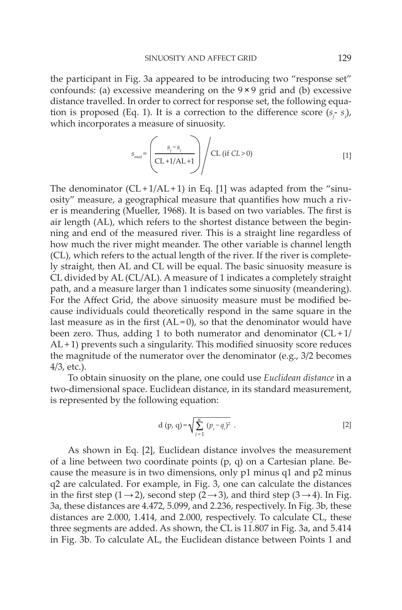the participant in Fig. 3a appeared to be introducing two "response set" confounds: (a) excessive meandering on the  $9 \times 9$  grid and (b) excessive distance travelled. In order to correct for response set, the following equation is proposed (Eq. 1). It is a correction to the difference score  $(s<sub>j</sub> - s<sub>i</sub>)$ , which incorporates a measure of sinuosity.

$$
S_{mod} = \left(\frac{S_j - S_i}{CL + 1/AL + 1}\right) / CL \text{ (if } CL > 0\text{)}
$$
 [1]

The denominator  $(CL+1/AL+1)$  in Eq. [1] was adapted from the "sinuosity" measure, a geographical measure that quantifies how much a river is meandering (Mueller, 1968). It is based on two variables. The first is air length (AL), which refers to the shortest distance between the beginning and end of the measured river. This is a straight line regardless of how much the river might meander. The other variable is channel length (CL), which refers to the actual length of the river. If the river is completely straight, then AL and CL will be equal. The basic sinuosity measure is CL divided by AL (CL/AL). A measure of 1 indicates a completely straight path, and a measure larger than 1 indicates some sinuosity (meandering). For the Affect Grid, the above sinuosity measure must be modified because individuals could theoretically respond in the same square in the last measure as in the first  $(AL=0)$ , so that the denominator would have been zero. Thus, adding 1 to both numerator and denominator  $(CL+1/$  $AL+1$ ) prevents such a singularity. This modified sinuosity score reduces the magnitude of the numerator over the denominator (e.g., 3/2 becomes 4/3, etc.).

To obtain sinuosity on the plane, one could use *Euclidean distance* in a two-dimensional space. Euclidean distance, in its standard measurement, is represented by the following equation:

d (p, q) = 
$$
\sqrt{\sum_{i=1}^{n} (p_i - q_i)^2}
$$
. [2]

As shown in Eq. [2], Euclidean distance involves the measurement of a line between two coordinate points  $(p, q)$  on a Cartesian plane. Because the measure is in two dimensions, only p1 minus q1 and p2 minus q2 are calculated. For example, in Fig. 3, one can calculate the distances in the first step (1  $\rightarrow$  2), second step (2 $\rightarrow$  3), and third step (3  $\rightarrow$  4). In Fig. 3a, these distances are 4.472, 5.099, and 2.236, respectively. In Fig. 3b, these distances are 2.000, 1.414, and 2.000, respectively. To calculate CL, these three segments are added. As shown, the CL is 11.807 in Fig. 3a, and 5.414 in Fig. 3b. To calculate AL, the Euclidean distance between Points 1 and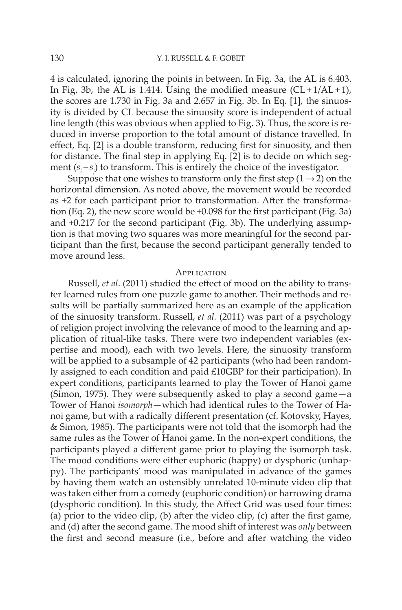4 is calculated, ignoring the points in between. In Fig. 3a, the AL is 6.403. In Fig. 3b, the AL is 1.414. Using the modified measure  $(CL+1/AL+1)$ , the scores are 1.730 in Fig. 3a and 2.657 in Fig. 3b. In Eq. [1], the sinuosity is divided by CL because the sinuosity score is independent of actual line length (this was obvious when applied to Fig. 3). Thus, the score is reduced in inverse proportion to the total amount of distance travelled. In effect, Eq. [2] is a double transform, reducing first for sinuosity, and then for distance. The final step in applying Eq. [2] is to decide on which segment ( $s_i - s_j$ ) to transform. This is entirely the choice of the investigator.

Suppose that one wishes to transform only the first step  $(1\rightarrow 2)$  on the horizontal dimension. As noted above, the movement would be recorded as +2 for each participant prior to transformation. After the transformation (Eq. 2), the new score would be +0.098 for the first participant (Fig. 3a) and +0.217 for the second participant (Fig. 3b). The underlying assumption is that moving two squares was more meaningful for the second participant than the first, because the second participant generally tended to move around less.

## **APPLICATION**

Russell, *et al*. (2011) studied the effect of mood on the ability to transfer learned rules from one puzzle game to another. Their methods and results will be partially summarized here as an example of the application of the sinuosity transform. Russell, *et al.* (2011) was part of a psychology of religion project involving the relevance of mood to the learning and application of ritual-like tasks. There were two independent variables (expertise and mood), each with two levels. Here, the sinuosity transform will be applied to a subsample of 42 participants (who had been randomly assigned to each condition and paid £10GBP for their participation). In expert conditions, participants learned to play the Tower of Hanoi game (Simon, 1975). They were subsequently asked to play a second game—a Tower of Hanoi *isomorph*—which had identical rules to the Tower of Hanoi game, but with a radically different presentation (cf. Kotovsky, Hayes, & Simon, 1985). The participants were not told that the isomorph had the same rules as the Tower of Hanoi game. In the non-expert conditions, the participants played a different game prior to playing the isomorph task. The mood conditions were either euphoric (happy) or dysphoric (unhappy). The participants' mood was manipulated in advance of the games by having them watch an ostensibly unrelated 10-minute video clip that was taken either from a comedy (euphoric condition) or harrowing drama (dysphoric condition). In this study, the Affect Grid was used four times: (a) prior to the video clip, (b) after the video clip, (c) after the first game, and (d) after the second game. The mood shift of interest was *only* between the first and second measure (i.e., before and after watching the video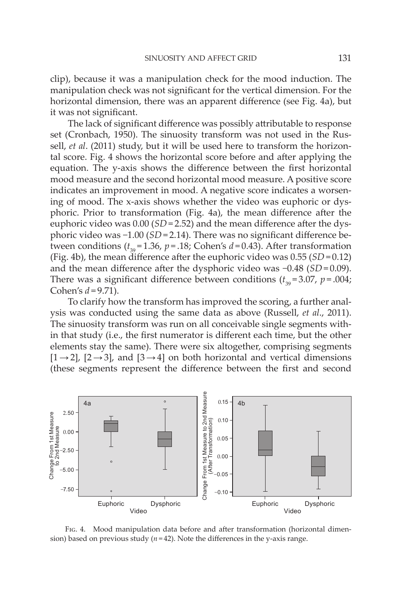clip), because it was a manipulation check for the mood induction. The manipulation check was not significant for the vertical dimension. For the horizontal dimension, there was an apparent difference (see Fig. 4a), but it was not significant.

The lack of significant difference was possibly attributable to response set (Cronbach, 1950). The sinuosity transform was not used in the Russell, *et al*. (2011) study, but it will be used here to transform the horizontal score. Fig. 4 shows the horizontal score before and after applying the equation. The y-axis shows the difference between the first horizontal mood measure and the second horizontal mood measure. A positive score indicates an improvement in mood. A negative score indicates a worsening of mood. The x-axis shows whether the video was euphoric or dysphoric. Prior to transformation (Fig. 4a), the mean difference after the euphoric video was  $0.00$  (*SD* = 2.52) and the mean difference after the dysphoric video was -1.00 (*SD* = 2.14). There was no significant difference between conditions  $(t_{39} = 1.36, p = .18; \text{Cohen's } d = 0.43)$ . After transformation (Fig. 4b), the mean difference after the euphoric video was  $0.55$  (*SD* =  $0.12$ ) and the mean difference after the dysphoric video was -0.48 (*SD* = 0.09). There was a significant difference between conditions  $(t_{39} = 3.07, p = .004;$ Cohen's  $d = 9.71$ ).

To clarify how the transform has improved the scoring, a further analysis was conducted using the same data as above (Russell, *et al*., 2011). The sinuosity transform was run on all conceivable single segments within that study (i.e., the first numerator is different each time, but the other elements stay the same). There were six altogether, comprising segments  $[1\rightarrow 2]$ ,  $[2\rightarrow 3]$ , and  $[3\rightarrow 4]$  on both horizontal and vertical dimensions (these segments represent the difference between the first and second



Fig. 4. Mood manipulation data before and after transformation (horizontal dimension) based on previous study  $(n=42)$ . Note the differences in the y-axis range.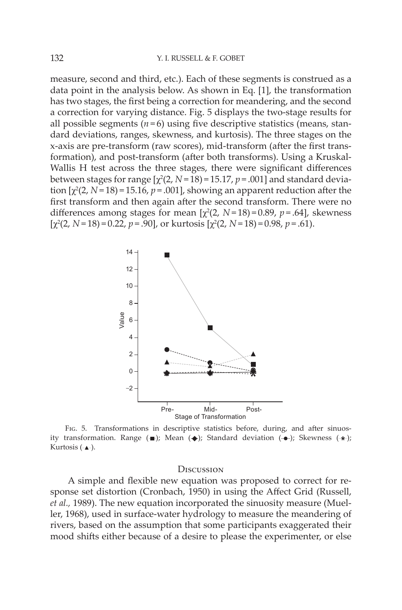measure, second and third, etc.). Each of these segments is construed as a data point in the analysis below. As shown in Eq. [1], the transformation has two stages, the first being a correction for meandering, and the second a correction for varying distance. Fig. 5 displays the two-stage results for all possible segments  $(n=6)$  using five descriptive statistics (means, standard deviations, ranges, skewness, and kurtosis). The three stages on the x-axis are pre-transform (raw scores), mid-transform (after the first transformation), and post-transform (after both transforms). Using a Kruskal-Wallis H test across the three stages, there were significant differences between stages for range  $[\chi^2(2, N=18) = 15.17, p = .001]$  and standard deviation  $[\chi^2(2, N=18) = 15.16, p = .001]$ , showing an apparent reduction after the first transform and then again after the second transform. There were no differences among stages for mean  $[\chi^2(2, N=18) = 0.89, p=.64]$ , skewness  $[\chi^2(2, N=18) = 0.22, p=.90]$ , or kurtosis  $[\chi^2(2, N=18) = 0.98, p=.61)$ .



Fig. 5. Transformations in descriptive statistics before, during, and after sinuosity transformation. Range  $(\blacksquare)$ ; Mean  $(\spadesuit)$ ; Standard deviation  $(\clubsuit)$ ; Skewness  $(\cdot \spadesuit)$ ; Kurtosis  $(-\triangle)$ .

### **D**iscussion

A simple and flexible new equation was proposed to correct for response set distortion (Cronbach, 1950) in using the Affect Grid (Russell, *et al.,* 1989). The new equation incorporated the sinuosity measure (Mueller, 1968), used in surface-water hydrology to measure the meandering of rivers, based on the assumption that some participants exaggerated their mood shifts either because of a desire to please the experimenter, or else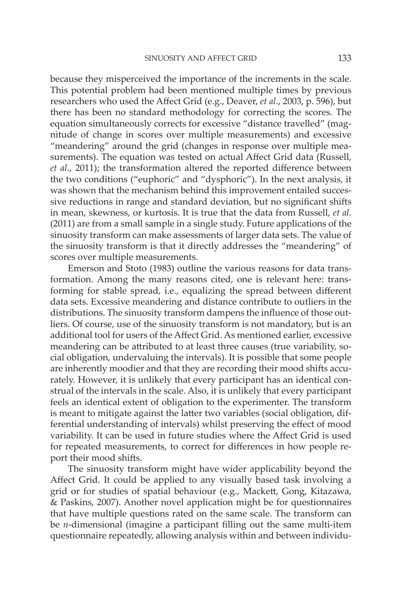because they misperceived the importance of the increments in the scale. This potential problem had been mentioned multiple times by previous researchers who used the Affect Grid (e.g., Deaver, *et al*., 2003, p. 596), but there has been no standard methodology for correcting the scores. The equation simultaneously corrects for excessive "distance travelled" (magnitude of change in scores over multiple measurements) and excessive "meandering" around the grid (changes in response over multiple measurements). The equation was tested on actual Affect Grid data (Russell, *et al.*, 2011); the transformation altered the reported difference between the two conditions ("euphoric" and "dysphoric"). In the next analysis, it was shown that the mechanism behind this improvement entailed successive reductions in range and standard deviation, but no significant shifts in mean, skewness, or kurtosis. It is true that the data from Russell, *et al.* (2011) are from a small sample in a single study. Future applications of the sinuosity transform can make assessments of larger data sets. The value of the sinuosity transform is that it directly addresses the "meandering" of scores over multiple measurements.

Emerson and Stoto (1983) outline the various reasons for data transformation. Among the many reasons cited, one is relevant here: transforming for stable spread, i.e., equalizing the spread between different data sets. Excessive meandering and distance contribute to outliers in the distributions. The sinuosity transform dampens the influence of those outliers. Of course, use of the sinuosity transform is not mandatory, but is an additional tool for users of the Affect Grid. As mentioned earlier, excessive meandering can be attributed to at least three causes (true variability, social obligation, undervaluing the intervals). It is possible that some people are inherently moodier and that they are recording their mood shifts accurately. However, it is unlikely that every participant has an identical construal of the intervals in the scale. Also, it is unlikely that every participant feels an identical extent of obligation to the experimenter. The transform is meant to mitigate against the latter two variables (social obligation, differential understanding of intervals) whilst preserving the effect of mood variability. It can be used in future studies where the Affect Grid is used for repeated measurements, to correct for differences in how people report their mood shifts.

The sinuosity transform might have wider applicability beyond the Affect Grid. It could be applied to any visually based task involving a grid or for studies of spatial behaviour (e.g., Mackett, Gong, Kitazawa, & Paskins, 2007). Another novel application might be for questionnaires that have multiple questions rated on the same scale. The transform can be *n*-dimensional (imagine a participant filling out the same multi-item questionnaire repeatedly, allowing analysis within and between individu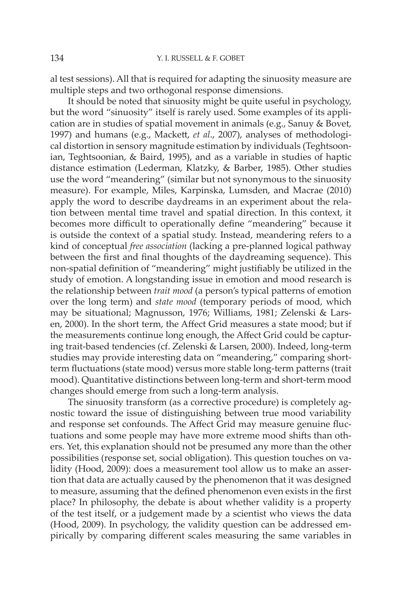al test sessions). All that is required for adapting the sinuosity measure are multiple steps and two orthogonal response dimensions.

It should be noted that sinuosity might be quite useful in psychology, but the word "sinuosity" itself is rarely used. Some examples of its application are in studies of spatial movement in animals (e.g., Sanuy & Bovet, 1997) and humans (e.g., Mackett, *et al*., 2007), analyses of methodological distortion in sensory magnitude estimation by individuals (Teghtsoonian, Teghtsoonian, & Baird, 1995), and as a variable in studies of haptic distance estimation (Lederman, Klatzky, & Barber, 1985). Other studies use the word "meandering" (similar but not synonymous to the sinuosity measure). For example, Miles, Karpinska, Lumsden, and Macrae (2010) apply the word to describe daydreams in an experiment about the relation between mental time travel and spatial direction. In this context, it becomes more difficult to operationally define "meandering" because it is outside the context of a spatial study. Instead, meandering refers to a kind of conceptual *free association* (lacking a pre-planned logical pathway between the first and final thoughts of the daydreaming sequence). This non-spatial definition of "meandering" might justifiably be utilized in the study of emotion. A longstanding issue in emotion and mood research is the relationship between *trait mood* (a person's typical patterns of emotion over the long term) and *state mood* (temporary periods of mood, which may be situational; Magnusson, 1976; Williams, 1981; Zelenski & Larsen, 2000). In the short term, the Affect Grid measures a state mood; but if the measurements continue long enough, the Affect Grid could be capturing trait-based tendencies (cf. Zelenski & Larsen, 2000). Indeed, long-term studies may provide interesting data on "meandering," comparing shortterm fluctuations (state mood) versus more stable long-term patterns (trait mood). Quantitative distinctions between long-term and short-term mood changes should emerge from such a long-term analysis.

The sinuosity transform (as a corrective procedure) is completely agnostic toward the issue of distinguishing between true mood variability and response set confounds. The Affect Grid may measure genuine fluctuations and some people may have more extreme mood shifts than others. Yet, this explanation should not be presumed any more than the other possibilities (response set, social obligation). This question touches on validity (Hood, 2009): does a measurement tool allow us to make an assertion that data are actually caused by the phenomenon that it was designed to measure, assuming that the defined phenomenon even exists in the first place? In philosophy, the debate is about whether validity is a property of the test itself, or a judgement made by a scientist who views the data (Hood, 2009). In psychology, the validity question can be addressed empirically by comparing different scales measuring the same variables in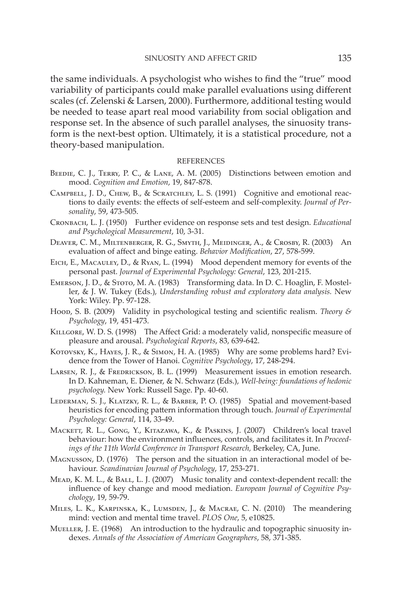the same individuals. A psychologist who wishes to find the "true" mood variability of participants could make parallel evaluations using different scales (cf. Zelenski & Larsen, 2000). Furthermore, additional testing would be needed to tease apart real mood variability from social obligation and response set. In the absence of such parallel analyses, the sinuosity transform is the next-best option. Ultimately, it is a statistical procedure, not a theory-based manipulation.

### **REFERENCES**

- Beedie, C. J., Terry, P. C., & Lane, A. M. (2005) Distinctions between emotion and mood. *Cognition and Emotion*, 19, 847-878.
- Campbell, J. D., Chew, B., & Scratchley, L. S. (1991) Cognitive and emotional reactions to daily events: the effects of self-esteem and self-complexity. *Journal of Personality*, 59, 473-505.
- Cronbach, L. J. (1950) Further evidence on response sets and test design. *Educational and Psychological Measurement*, 10, 3-31.
- Deaver, C. M., Miltenberger, R. G., Smyth, J., Meidinger, A., & Crosby, R. (2003) An evaluation of affect and binge eating. *Behavior Modification*, 27, 578-599.
- Eich, E., Macauley, D., & Ryan, L. (1994) Mood dependent memory for events of the personal past. *Journal of Experimental Psychology: General*, 123, 201-215.
- Emerson, J. D., & Stoto, M. A. (1983) Transforming data. In D. C. Hoaglin, F. Mosteller, & J. W. Tukey (Eds.), *Understanding robust and exploratory data analysis.* New York: Wiley. Pp. 97-128.
- Hood, S. B. (2009) Validity in psychological testing and scientific realism. *Theory & Psychology*, 19, 451-473.
- Killgore, W. D. S. (1998) The Affect Grid: a moderately valid, nonspecific measure of pleasure and arousal. *Psychological Reports*, 83, 639-642.
- KOTOVSKY, K., HAYES, J. R., & SIMON, H. A. (1985) Why are some problems hard? Evidence from the Tower of Hanoi. *Cognitive Psychology*, 17, 248-294.
- LARSEN, R. J., & FREDRICKSON, B. L. (1999) Measurement issues in emotion research. In D. Kahneman, E. Diener, & N. Schwarz (Eds.), *Well-being: foundations of hedonic psychology.* New York: Russell Sage. Pp. 40-60.
- Lederman, S. J., Klatzky, R. L., & Barber, P. O. (1985) Spatial and movement-based heuristics for encoding pattern information through touch. *Journal of Experimental Psychology: General*, 114, 33-49.
- Mackett, R. L., Gong, Y., Kitazawa, K., & Paskins, J. (2007) Children's local travel behaviour: how the environment influences, controls, and facilitates it. In *Proceedings of the 11th World Conference in Transport Research,* Berkeley, CA, June.
- Magnusson, D. (1976) The person and the situation in an interactional model of behaviour. *Scandinavian Journal of Psychology*, 17, 253-271.
- Mead, K. M. L., & Ball, L. J. (2007) Music tonality and context-dependent recall: the influence of key change and mood mediation. *European Journal of Cognitive Psychology*, 19, 59-79.
- Miles, L. K., Karpinska, K., Lumsden, J., & Macrae, C. N. (2010) The meandering mind: vection and mental time travel. *PLOS One*, 5, e10825.
- MUELLER, J. E. (1968) An introduction to the hydraulic and topographic sinuosity indexes. *Annals of the Association of American Geographers*, 58, 371-385.